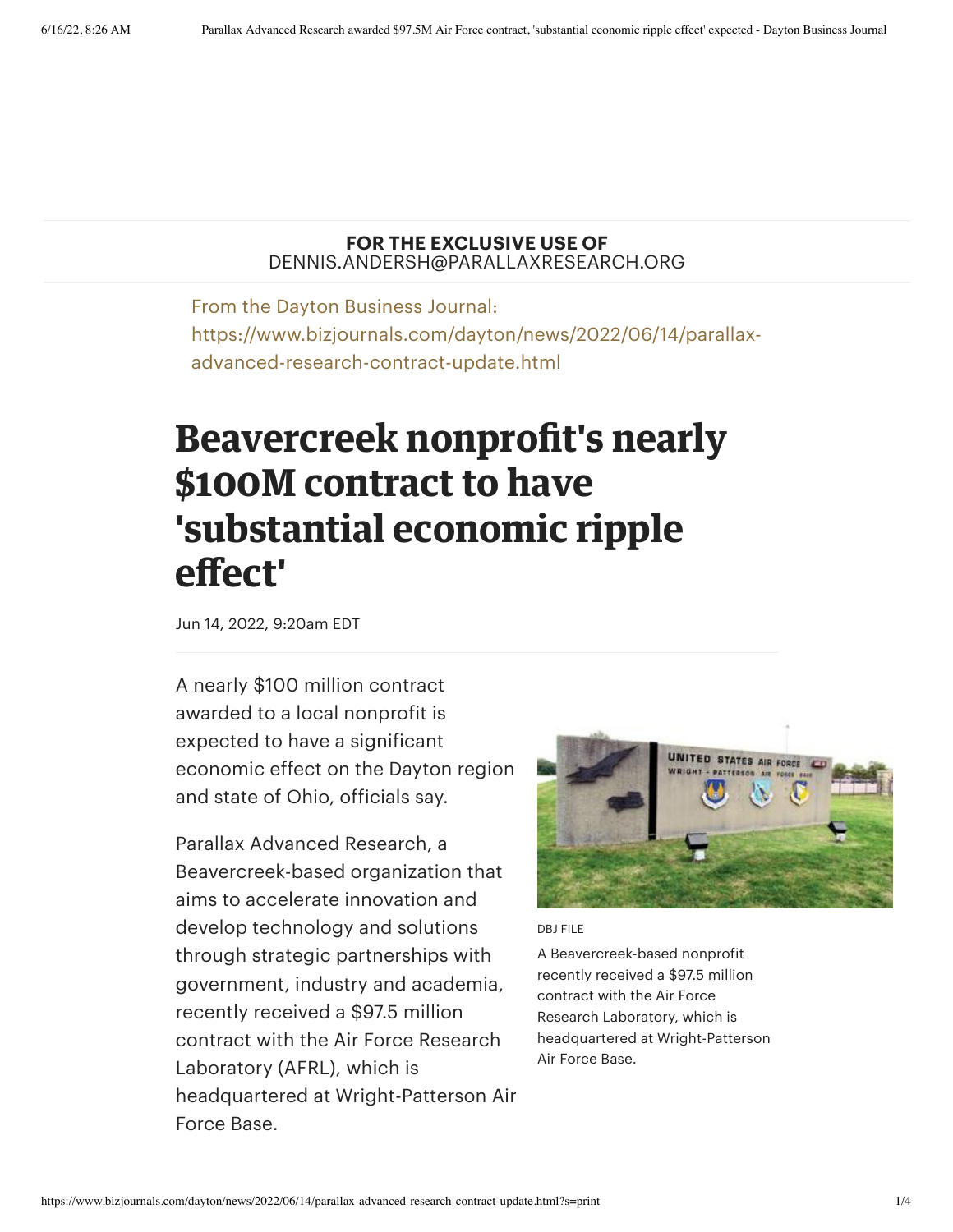## **FOR THE EXCLUSIVE USE OF** DENNIS.ANDERSH@PARALLAXRESEARCH.ORG

From the Dayton Business Journal: https://www.bizjournals.com/dayton/news/2022/06/14/parallaxadvanced-research-contract-update.html

## **Beavercreek nonprofit's nearly \$100M contract to have 'substantial economic ripple effect'**

Jun 14, 2022, 9:20am EDT

A nearly \$100 million contract awarded to a local nonprofit is expected to have a significant economic effect on the Dayton region and state of Ohio, officials say.

Parallax Advanced Research, a Beavercreek-based organization that aims to accelerate innovation and develop technology and solutions through strategic partnerships with government, industry and academia, recently [received](https://www.bizjournals.com/dayton/news/2022/05/09/parallax-advanced-research-contract.html) a \$97.5 million contract with the Air Force Research Laboratory (AFRL), which is headquartered at Wright-Patterson Air Force Base.



DBJ FILE

A Beavercreek-based nonprofit recently received a \$97.5 million contract with the Air Force Research Laboratory, which is headquartered at Wright-Patterson Air Force Base.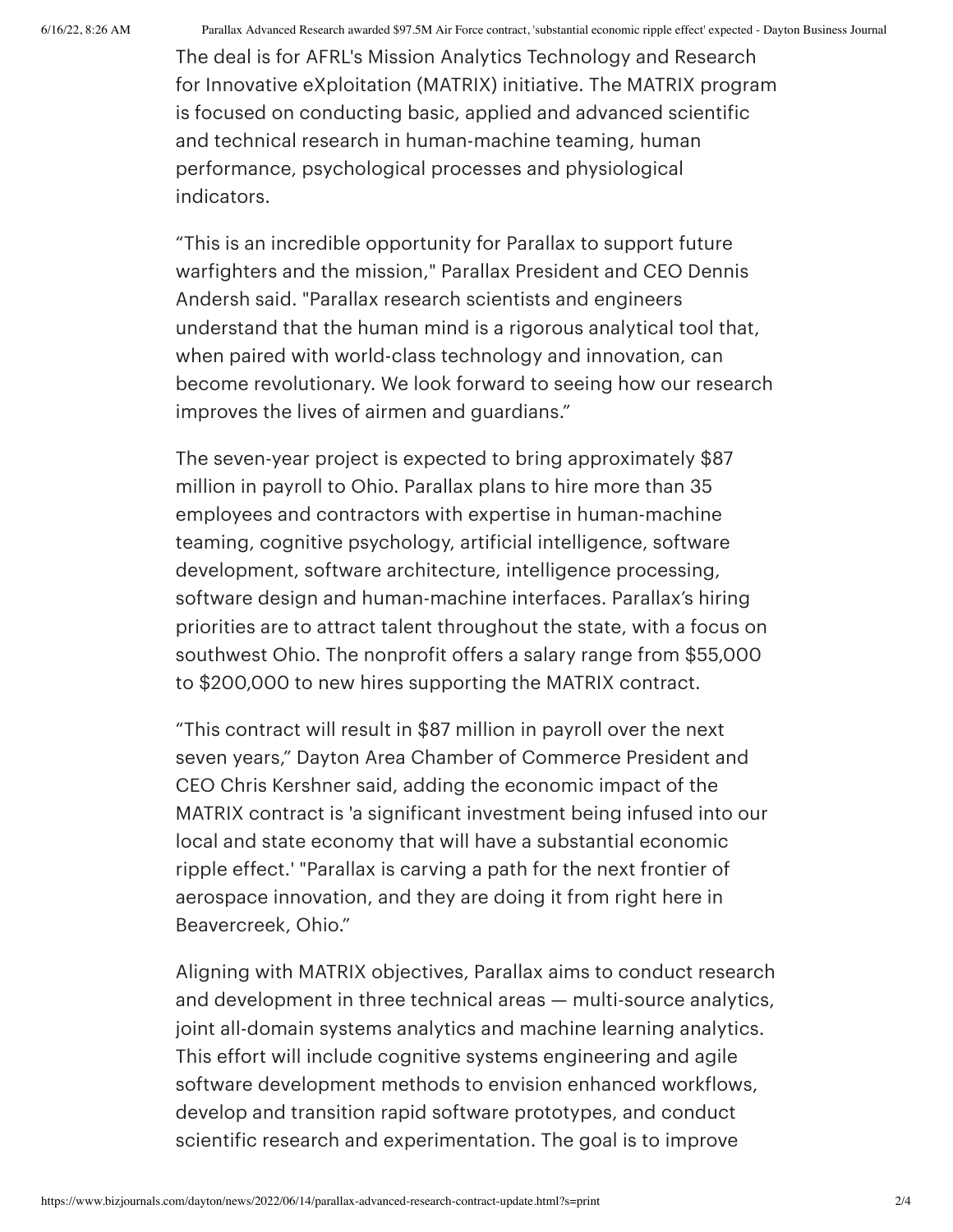6/16/22, 8:26 AM Parallax Advanced Research awarded \$97.5M Air Force contract, 'substantial economic ripple effect' expected - Dayton Business Journal

The deal is for AFRL's Mission Analytics Technology and Research for Innovative eXploitation (MATRIX) initiative. The MATRIX program is focused on conducting basic, applied and advanced scientific and technical research in human-machine teaming, human performance, psychological processes and physiological indicators.

"This is an incredible opportunity for Parallax to support future [warfighters](https://www.bizjournals.com/dayton/search/results?q=Dennis%20Andersh) and the mission," Parallax President and CEO Dennis Andersh said. "Parallax research scientists and engineers understand that the human mind is a rigorous analytical tool that, when paired with world-class technology and innovation, can become revolutionary. We look forward to seeing how our research improves the lives of airmen and guardians."

The seven-year project is expected to bring approximately \$87 million in payroll to Ohio. Parallax plans to hire more than 35 employees and contractors with expertise in human-machine teaming, cognitive psychology, artificial intelligence, software development, software architecture, intelligence processing, software design and human-machine interfaces. Parallax's hiring priorities are to attract talent throughout the state, with a focus on southwest Ohio. The nonprofit offers a salary range from \$55,000 to \$200,000 to new hires supporting the MATRIX contract.

"This contract will result in \$87 million in payroll over the next seven years," Dayton Area Chamber of Commerce President and CEO Chris [Kershner](https://www.bizjournals.com/dayton/search/results?q=Chris%20Kershner) said, adding the economic impact of the MATRIX contract is 'a significant investment being infused into our local and state economy that will have a substantial economic ripple effect.' "Parallax is carving a path for the next frontier of aerospace innovation, and they are doing it from right here in Beavercreek, Ohio."

Aligning with MATRIX objectives, Parallax aims to conduct research and development in three technical areas — multi-source analytics, joint all-domain systems analytics and machine learning analytics. This effort will include cognitive systems engineering and agile software development methods to envision enhanced workflows, develop and transition rapid software prototypes, and conduct scientific research and experimentation. The goal is to improve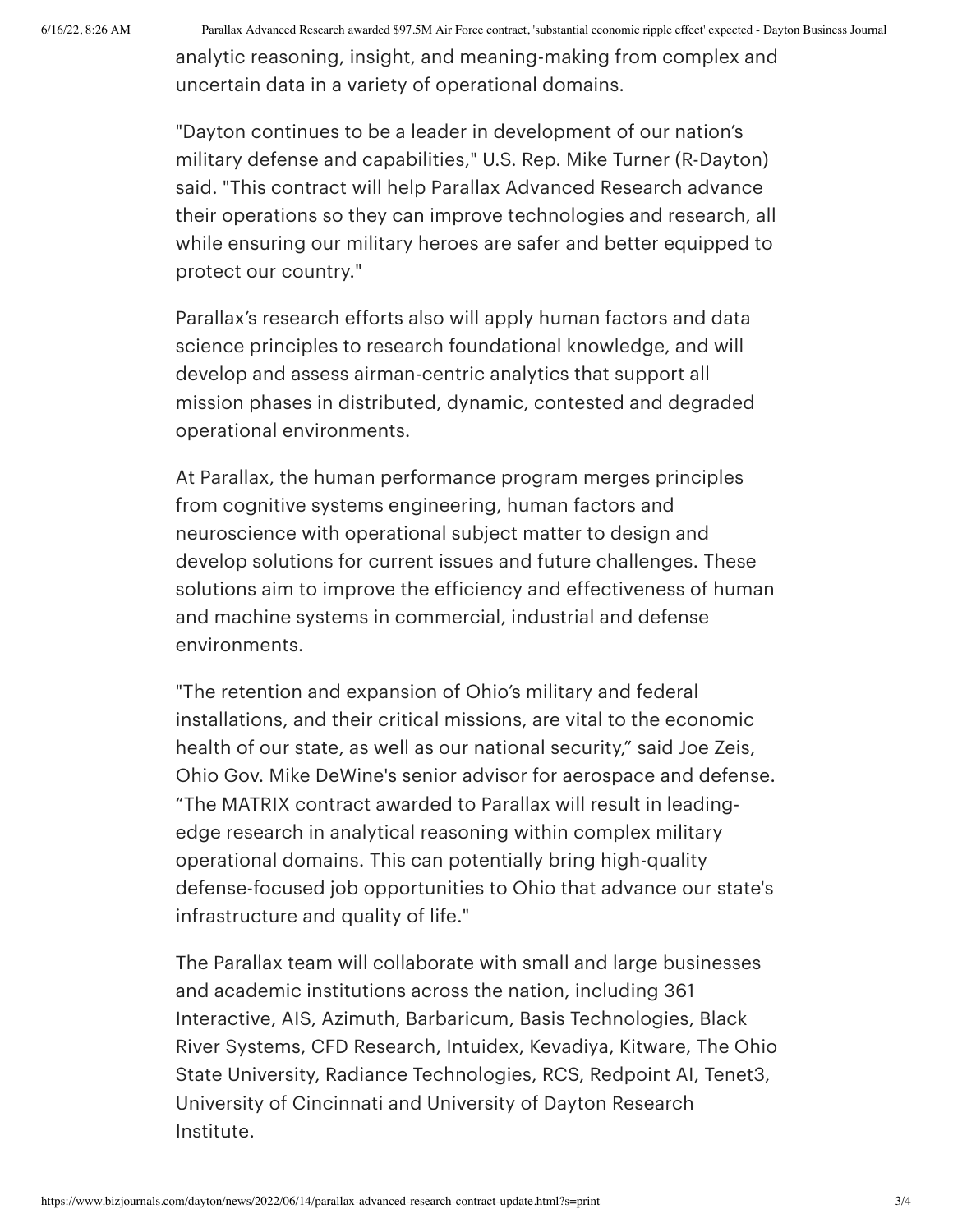6/16/22, 8:26 AM Parallax Advanced Research awarded \$97.5M Air Force contract, 'substantial economic ripple effect' expected - Dayton Business Journal

analytic reasoning, insight, and meaning-making from complex and uncertain data in a variety of operational domains.

"Dayton continues to be a leader in development of our nation's military defense and capabilities," U.S. Rep. Mike [Turner](https://www.bizjournals.com/dayton/search/results?q=Mike%20Turner) (R-Dayton) said. "This contract will help Parallax Advanced Research advance their operations so they can improve technologies and research, all while ensuring our military heroes are safer and better equipped to protect our country."

Parallax's research efforts also will apply human factors and data science principles to research foundational knowledge, and will develop and assess airman-centric analytics that support all mission phases in distributed, dynamic, contested and degraded operational environments.

At Parallax, the human performance program merges principles from cognitive systems engineering, human factors and neuroscience with operational subject matter to design and develop solutions for current issues and future challenges. These solutions aim to improve the efficiency and effectiveness of human and machine systems in commercial, industrial and defense environments.

"The retention and expansion of Ohio's military and federal installations, and their critical missions, are vital to the economic health of our state, as well as our national security," said Joe [Zeis](https://www.bizjournals.com/dayton/search/results?q=Joe%20Zeis), Ohio Gov. Mike [DeWine](https://www.bizjournals.com/dayton/search/results?q=Mike%20DeWine)'s senior advisor for aerospace and defense. "The MATRIX contract awarded to Parallax will result in leadingedge research in analytical reasoning within complex military operational domains. This can potentially bring high-quality defense-focused job opportunities to Ohio that advance our state's infrastructure and quality of life."

The Parallax team will collaborate with small and large businesses and academic institutions across the nation, including 361 Interactive, AIS, Azimuth, Barbaricum, Basis Technologies, Black River Systems, CFD Research, Intuidex, Kevadiya, Kitware, The Ohio State University, Radiance Technologies, RCS, Redpoint AI, Tenet3, University of Cincinnati and University of Dayton Research Institute.